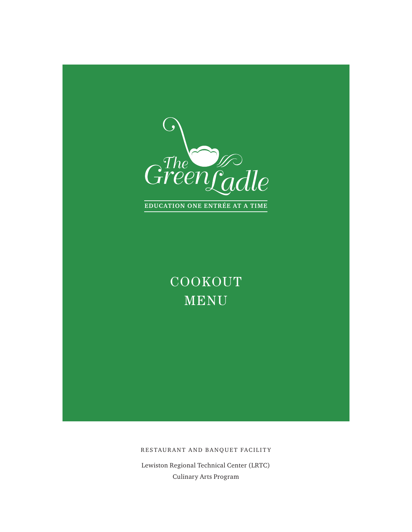

COOKOUT MENU

RESTAURANT AND BANQUET FACILITY

Lewiston Regional Technical Center (LRTC) Culinary Arts Program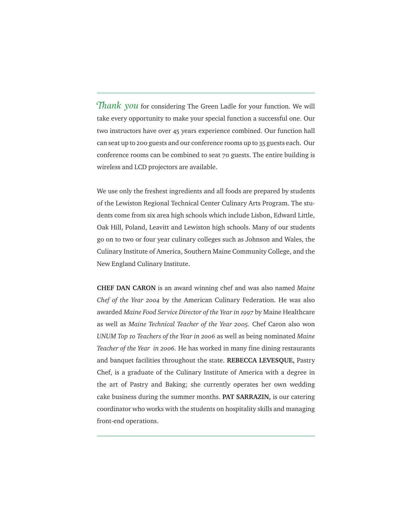Thank you for considering The Green Ladle for your function. We will take every opportunity to make your special function a successful one. Our two instructors have over 45 years experience combined. Our function hall can seat up to 200 guests and our conference rooms up to 35 guests each. Our conference rooms can be combined to seat 70 guests. The entire building is wireless and LCD projectors are available.

We use only the freshest ingredients and all foods are prepared by students of the Lewiston Regional Technical Center Culinary Arts Program. The students come from six area high schools which include Lisbon, Edward Little, Oak Hill, Poland, Leavitt and Lewiston high schools. Many of our students go on to two or four year culinary colleges such as Johnson and Wales, the Culinary Institute of America, Southern Maine Community College, and the New England Culinary Institute.

**CHEF DAN CARON** is an award winning chef and was also named *Maine Chef of the Year 2004* by the American Culinary Federation. He was also awarded *Maine Food Service Director of the Year in 1997* by Maine Healthcare as well as *Maine Technical Teacher of the Year 2005.* Chef Caron also won *UNUM Top 10 Teachers of the Year in 2006* as well as being nominated *Maine Teacher of the Year in 2006.* He has worked in many fine dining restaurants and banquet facilities throughout the state. **REBECCA LEVESQUE,** Pastry Chef, is a graduate of the Culinary Institute of America with a degree in the art of Pastry and Baking; she currently operates her own wedding cake business during the summer months. **PAT SARRAZIN,** is our catering coordinator who works with the students on hospitality skills and managing front-end operations.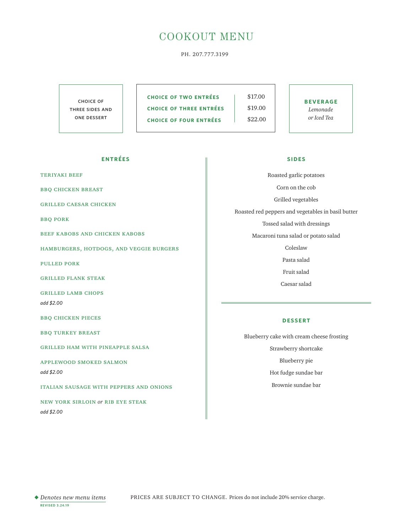# COOKOUT MENU

PH. 207.777.3199

choice of three sides and one dessert

**CHOICE OF TWO ENTRÉES** | \$17.00 **CHOICE OF THREE ENTRÉES** | \$19.00 **CHOICE OF FOUR ENTRÉES** \$22.00

**beverage** *Lemonade or Iced Tea*

### **entrées**

teriyaki beef

bbq chicken breast

grilled caesar chicken

bbq pork

beef kabobs and chicken kabobs

hamburgers, hotdogs, and veggie burgers

pulled pork

grilled flank steak

grilled lamb chops *add \$2.00*

bbq chicken pieces

bbq turkey breast

grilled ham with pineapple salsa

applewood smoked salmon

*add \$2.00*

italian sausage with peppers and onions

new york sirloin *or* rib eye steak *add \$2.00*

#### **sides**

Roasted garlic potatoes Corn on the cob Grilled vegetables Roasted red peppers and vegetables in basil butter Tossed salad with dressings Macaroni tuna salad or potato salad Coleslaw Pasta salad Fruit salad

Caesar salad

#### **dessert**

Blueberry cake with cream cheese frosting Strawberry shortcake Blueberry pie Hot fudge sundae bar Brownie sundae bar